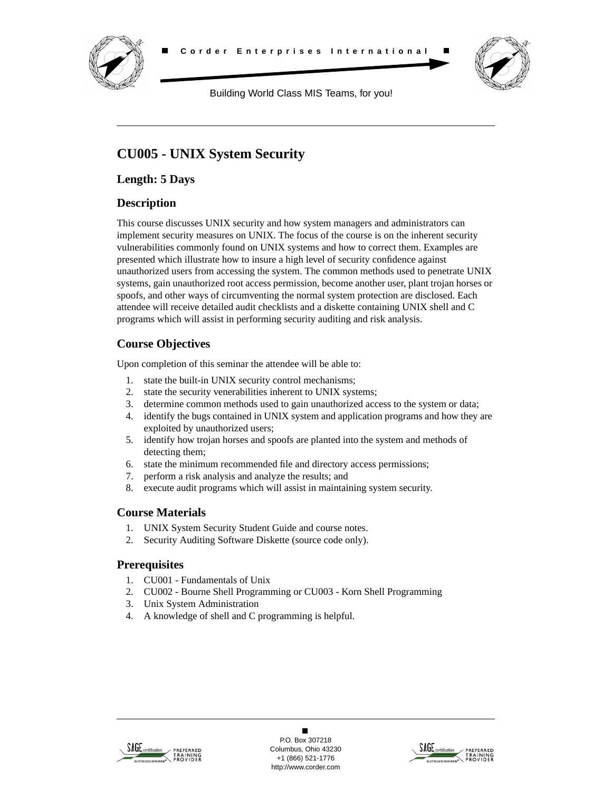



Building World Class MIS Teams, for you!

# **CU005 - UNIX System Security**

**Length: 5 Days**

## **Description**

This course discusses UNIX security and how system managers and administrators can implement security measures on UNIX. The focus of the course is on the inherent security vulnerabilities commonly found on UNIX systems and how to correct them. Examples are presented which illustrate how to insure a high level of security confidence against unauthorized users from accessing the system. The common methods used to penetrate UNIX systems, gain unauthorized root access permission, become another user, plant trojan horses or spoofs, and other ways of circumventing the normal system protection are disclosed. Each attendee will receive detailed audit checklists and a diskette containing UNIX shell and C programs which will assist in performing security auditing and risk analysis.

# **Course Objectives**

Upon completion of this seminar the attendee will be able to:

- 1. state the built-in UNIX security control mechanisms;
- 2. state the security venerabilities inherent to UNIX systems;
- 3. determine common methods used to gain unauthorized access to the system or data;
- 4. identify the bugs contained in UNIX system and application programs and how they are exploited by unauthorized users;
- 5. identify how trojan horses and spoofs are planted into the system and methods of detecting them;
- 6. state the minimum recommended file and directory access permissions;
- 7. perform a risk analysis and analyze the results; and
- 8. execute audit programs which will assist in maintaining system security.

### **Course Materials**

- 1. UNIX System Security Student Guide and course notes.
- 2. Security Auditing Software Diskette (source code only).

### **Prerequisites**

- 1. CU001 Fundamentals of Unix
- 2. CU002 Bourne Shell Programming or CU003 Korn Shell Programming
- 3. Unix System Administration
- 4. A knowledge of shell and C programming is helpful.



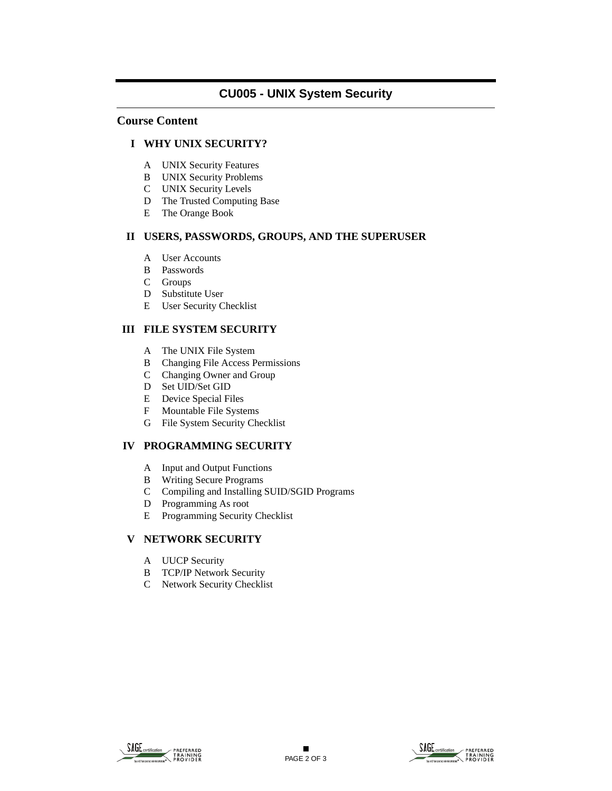### **CU005 - UNIX System Security**

#### **Course Content**

#### **I WHY UNIX SECURITY?**

- A UNIX Security Features
- B UNIX Security Problems
- C UNIX Security Levels
- D The Trusted Computing Base
- E The Orange Book

#### **II USERS, PASSWORDS, GROUPS, AND THE SUPERUSER**

- A User Accounts
- B Passwords
- C Groups
- D Substitute User
- E User Security Checklist

### **III FILE SYSTEM SECURITY**

- A The UNIX File System
- B Changing File Access Permissions
- C Changing Owner and Group
- D Set UID/Set GID
- E Device Special Files
- F Mountable File Systems
- G File System Security Checklist

### **IV PROGRAMMING SECURITY**

- A Input and Output Functions
- B Writing Secure Programs
- C Compiling and Installing SUID/SGID Programs
- D Programming As root
- E Programming Security Checklist

### **V NETWORK SECURITY**

- A UUCP Security
- B TCP/IP Network Security
- C Network Security Checklist